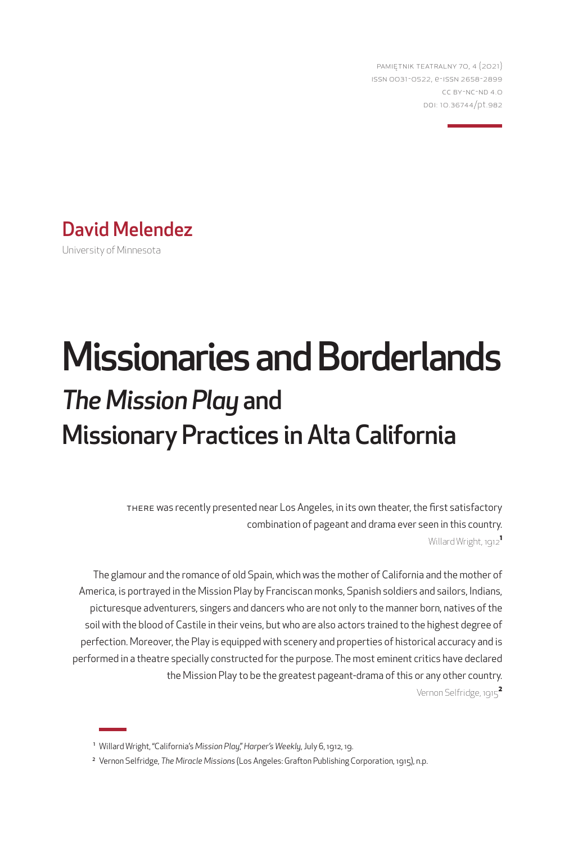PAMIĘTNIK TEATRALNY 70, 4 (2021) ISSN 0031-0522, e-ISSN 2658-2899 CC BY-NC-ND 4.0 DOI: 10.36744/pt.982



# Missionaries and Borderlands *The Mission Play* and Missionary Practices in Alta California

THERE was recently presented near Los Angeles, in its own theater, the first satisfactory combination of pageant and drama ever seen in this country. Willard Wright, 1912**<sup>1</sup>**

The glamour and the romance of old Spain, which was the mother of California and the mother of America, is portrayed in the Mission Play by Franciscan monks, Spanish soldiers and sailors, Indians, picturesque adventurers, singers and dancers who are not only to the manner born, natives of the soil with the blood of Castile in their veins, but who are also actors trained to the highest degree of perfection. Moreover, the Play is equipped with scenery and properties of historical accuracy and is performed in a theatre specially constructed for the purpose. The most eminent critics have declared the Mission Play to be the greatest pageant-drama of this or any other country. Vernon Selfridge, 1915**<sup>2</sup>**

<sup>1</sup> Willard Wright, "California's *Mission Play*," *Harper's Weekly*, July 6, 1912, 19.

<sup>2</sup> Vernon Selfridge, *The Miracle Missions* (Los Angeles: Grafton Publishing Corporation, 1915), n.p.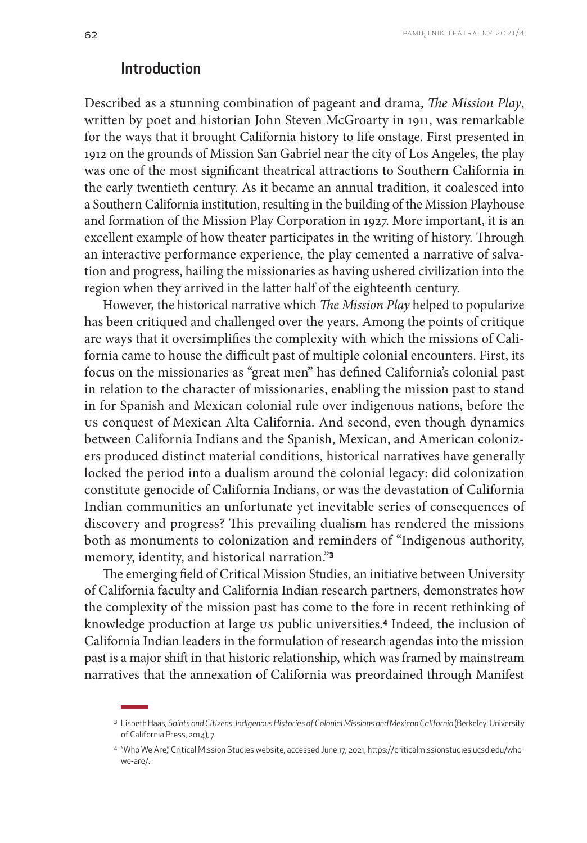## Introduction

Described as a stunning combination of pageant and drama, *The Mission Play*, written by poet and historian John Steven McGroarty in 1911, was remarkable for the ways that it brought California history to life onstage. First presented in 1912 on the grounds of Mission San Gabriel near the city of Los Angeles, the play was one of the most significant theatrical attractions to Southern California in the early twentieth century. As it became an annual tradition, it coalesced into a Southern California institution, resulting in the building of the Mission Playhouse and formation of the Mission Play Corporation in 1927. More important, it is an excellent example of how theater participates in the writing of history. Through an interactive performance experience, the play cemented a narrative of salvation and progress, hailing the missionaries as having ushered civilization into the region when they arrived in the latter half of the eighteenth century.

However, the historical narrative which *The Mission Play* helped to popularize has been critiqued and challenged over the years. Among the points of critique are ways that it oversimplifies the complexity with which the missions of California came to house the difficult past of multiple colonial encounters. First, its focus on the missionaries as "great men" has defined California's colonial past in relation to the character of missionaries, enabling the mission past to stand in for Spanish and Mexican colonial rule over indigenous nations, before the US conquest of Mexican Alta California. And second, even though dynamics between California Indians and the Spanish, Mexican, and American colonizers produced distinct material conditions, historical narratives have generally locked the period into a dualism around the colonial legacy: did colonization constitute genocide of California Indians, or was the devastation of California Indian communities an unfortunate yet inevitable series of consequences of discovery and progress? This prevailing dualism has rendered the missions both as monuments to colonization and reminders of "Indigenous authority, memory, identity, and historical narration."**<sup>3</sup>**

The emerging field of Critical Mission Studies, an initiative between University of California faculty and California Indian research partners, demonstrates how the complexity of the mission past has come to the fore in recent rethinking of knowledge production at large US public universities.**4** Indeed, the inclusion of California Indian leaders in the formulation of research agendas into the mission past is a major shift in that historic relationship, which was framed by mainstream narratives that the annexation of California was preordained through Manifest

<sup>&</sup>lt;sup>3</sup> Lisbeth Haas, Saints and Citizens: Indigenous Histories of Colonial Missions and Mexican California (Berkeley: University of California Press, 2014), 7.

<sup>4</sup> "Who We Are," Critical Mission Studies website, accessed June 17, 2021, https://criticalmissionstudies.ucsd.edu/whowe-are/.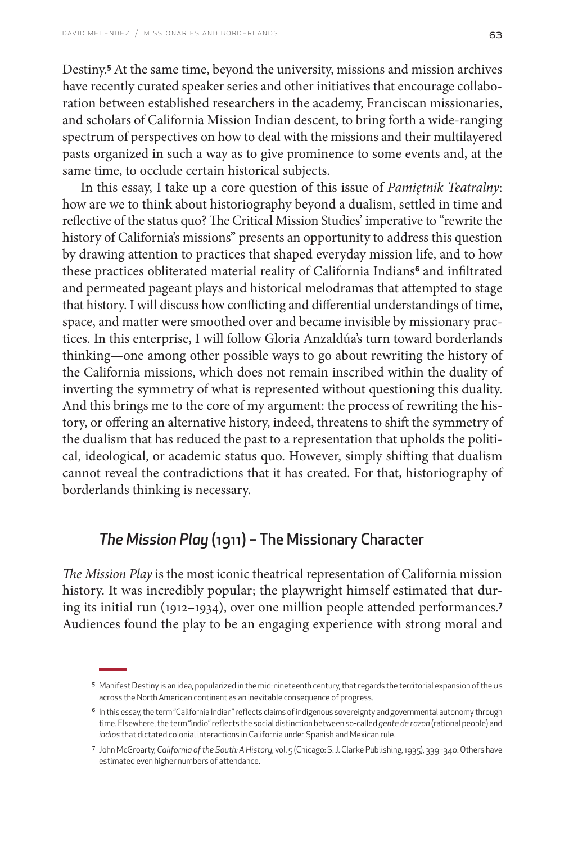Destiny.**<sup>5</sup>** At the same time, beyond the university, missions and mission archives have recently curated speaker series and other initiatives that encourage collaboration between established researchers in the academy, Franciscan missionaries, and scholars of California Mission Indian descent, to bring forth a wide-ranging spectrum of perspectives on how to deal with the missions and their multilayered pasts organized in such a way as to give prominence to some events and, at the same time, to occlude certain historical subjects.

In this essay, I take up a core question of this issue of *Pamiętnik Teatralny*: how are we to think about historiography beyond a dualism, settled in time and reflective of the status quo? The Critical Mission Studies' imperative to "rewrite the history of California's missions" presents an opportunity to address this question by drawing attention to practices that shaped everyday mission life, and to how these practices obliterated material reality of California Indians**6** and infiltrated and permeated pageant plays and historical melodramas that attempted to stage that history. I will discuss how conflicting and differential understandings of time, space, and matter were smoothed over and became invisible by missionary practices. In this enterprise, I will follow Gloria Anzaldúa's turn toward borderlands thinking—one among other possible ways to go about rewriting the history of the California missions, which does not remain inscribed within the duality of inverting the symmetry of what is represented without questioning this duality. And this brings me to the core of my argument: the process of rewriting the history, or offering an alternative history, indeed, threatens to shift the symmetry of the dualism that has reduced the past to a representation that upholds the political, ideological, or academic status quo. However, simply shifting that dualism cannot reveal the contradictions that it has created. For that, historiography of borderlands thinking is necessary.

## *The Mission Play* (1911) – The Missionary Character

*The Mission Play* is the most iconic theatrical representation of California mission history. It was incredibly popular; the playwright himself estimated that during its initial run (1912–1934), over one million people attended performances.**<sup>7</sup>** Audiences found the play to be an engaging experience with strong moral and

<sup>5</sup> Manifest Destiny is an idea, popularized in the mid-nineteenth century, that regards the territorial expansion of the US across the North American continent as an inevitable consequence of progress.

<sup>&</sup>lt;sup>6</sup> In this essay, the term "California Indian" reflects claims of indigenous sovereignty and governmental autonomy through time. Elsewhere, the term "indio" reflects the social distinction between so-called *gente de razon* (rational people) and *indios* that dictated colonial interactions in California under Spanish and Mexican rule.

<sup>7</sup> John McGroarty, *California of the South: A History*, vol. 5 (Chicago: S. J. Clarke Publishing, 1935), 339–340. Others have estimated even higher numbers of attendance.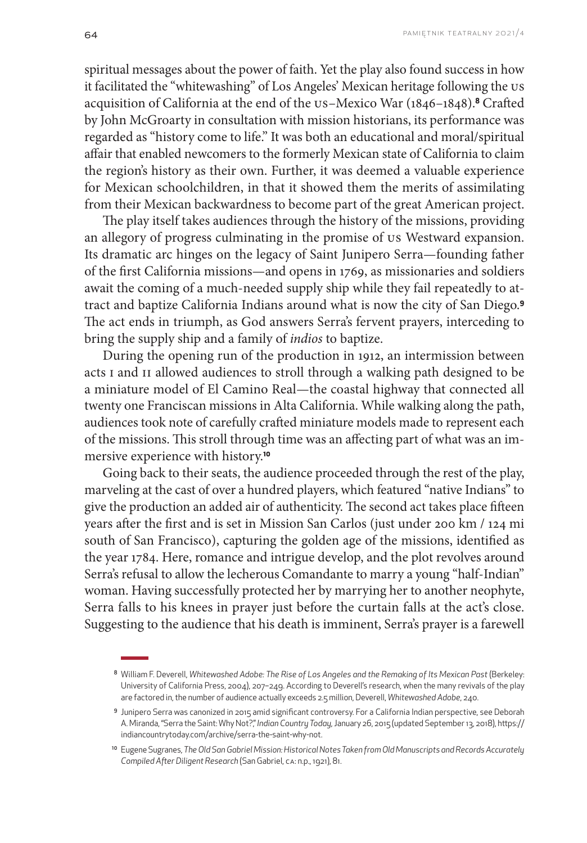spiritual messages about the power of faith. Yet the play also found success in how it facilitated the "whitewashing" of Los Angeles' Mexican heritage following the US acquisition of California at the end of the US–Mexico War (1846–1848).**8** Crafted by John McGroarty in consultation with mission historians, its performance was regarded as "history come to life." It was both an educational and moral/spiritual affair that enabled newcomers to the formerly Mexican state of California to claim the region's history as their own. Further, it was deemed a valuable experience for Mexican schoolchildren, in that it showed them the merits of assimilating from their Mexican backwardness to become part of the great American project.

The play itself takes audiences through the history of the missions, providing an allegory of progress culminating in the promise of US Westward expansion. Its dramatic arc hinges on the legacy of Saint Junipero Serra—founding father of the first California missions—and opens in 1769, as missionaries and soldiers await the coming of a much-needed supply ship while they fail repeatedly to attract and baptize California Indians around what is now the city of San Diego.**<sup>9</sup>** The act ends in triumph, as God answers Serra's fervent prayers, interceding to bring the supply ship and a family of *indios* to baptize.

During the opening run of the production in 1912, an intermission between acts i and II allowed audiences to stroll through a walking path designed to be a miniature model of El Camino Real—the coastal highway that connected all twenty one Franciscan missions in Alta California. While walking along the path, audiences took note of carefully crafted miniature models made to represent each of the missions. This stroll through time was an affecting part of what was an immersive experience with history.**<sup>10</sup>**

Going back to their seats, the audience proceeded through the rest of the play, marveling at the cast of over a hundred players, which featured "native Indians" to give the production an added air of authenticity. The second act takes place fifteen years after the first and is set in Mission San Carlos (just under 200 km / 124 mi south of San Francisco), capturing the golden age of the missions, identified as the year 1784. Here, romance and intrigue develop, and the plot revolves around Serra's refusal to allow the lecherous Comandante to marry a young "half-Indian" woman. Having successfully protected her by marrying her to another neophyte, Serra falls to his knees in prayer just before the curtain falls at the act's close. Suggesting to the audience that his death is imminent, Serra's prayer is a farewell

<sup>&</sup>lt;sup>8</sup> William F. Deverell, Whitewashed Adobe: The Rise of Los Angeles and the Remaking of Its Mexican Past (Berkeley: University of California Press, 2004), 207–249. According to Deverell's research, when the many revivals of the play are factored in, the number of audience actually exceeds 2.5 million, Deverell, *Whitewashed Adobe*, 240.

<sup>9</sup> Junipero Serra was canonized in 2015 amid significant controversy. For a California Indian perspective, see Deborah A. Miranda, "Serra the Saint: Why Not?," *Indian Country Today*, January 26, 2015 (updated September 13, 2018), https:// indiancountrytoday.com/archive/serra-the-saint-why-not.

<sup>&</sup>lt;sup>10</sup> Eugene Sugranes, *The Old San Gabriel Mission: Historical Notes Taken from Old Manuscripts and Records Accurately Compiled After Diligent Research* (San Gabriel, CA: n.p., 1921), 81.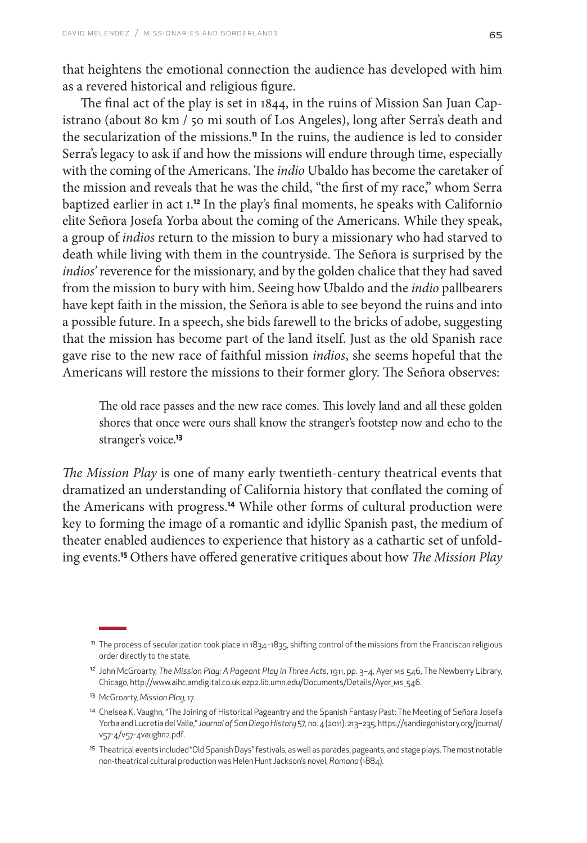that heightens the emotional connection the audience has developed with him as a revered historical and religious figure.

The final act of the play is set in 1844, in the ruins of Mission San Juan Capistrano (about 80 km / 50 mi south of Los Angeles), long after Serra's death and the secularization of the missions.**11** In the ruins, the audience is led to consider Serra's legacy to ask if and how the missions will endure through time, especially with the coming of the Americans. The *indio* Ubaldo has become the caretaker of the mission and reveals that he was the child, "the first of my race," whom Serra baptized earlier in act i. **<sup>12</sup>** In the play's final moments, he speaks with Californio elite Señora Josefa Yorba about the coming of the Americans. While they speak, a group of *indios* return to the mission to bury a missionary who had starved to death while living with them in the countryside. The Señora is surprised by the *indios'* reverence for the missionary, and by the golden chalice that they had saved from the mission to bury with him. Seeing how Ubaldo and the *indio* pallbearers have kept faith in the mission, the Señora is able to see beyond the ruins and into a possible future. In a speech, she bids farewell to the bricks of adobe, suggesting that the mission has become part of the land itself. Just as the old Spanish race gave rise to the new race of faithful mission *indios*, she seems hopeful that the Americans will restore the missions to their former glory. The Señora observes:

The old race passes and the new race comes. This lovely land and all these golden shores that once were ours shall know the stranger's footstep now and echo to the stranger's voice.**<sup>13</sup>**

*The Mission Play* is one of many early twentieth-century theatrical events that dramatized an understanding of California history that conflated the coming of the Americans with progress.**14** While other forms of cultural production were key to forming the image of a romantic and idyllic Spanish past, the medium of theater enabled audiences to experience that history as a cathartic set of unfolding events.**15** Others have offered generative critiques about how *The Mission Play* 

<sup>11</sup> The process of secularization took place in 1834–1835, shifting control of the missions from the Franciscan religious order directly to the state.

<sup>&</sup>lt;sup>12</sup> John McGroarty, *The Mission Play: A Pageant Play in Three Acts*, 1911, pp. 3-4, Ayer ms 546, The Newberry Library, Chicago, http://www.aihc.amdigital.co.uk.ezp2.lib.umn.edu/Documents/Details/Ayer\_ms\_546.

<sup>13</sup> McGroarty, *Mission Play*, 17.

<sup>14</sup> Chelsea K. Vaughn, "The Joining of Historical Pageantry and the Spanish Fantasy Past: The Meeting of Señora Josefa Yorba and Lucretia del Valle," *Journal of San Diego History* 57, no. 4 (2011): 213–235, [https://sandiegohistory.org/journal/](https://sandiegohistory.org/journal/v57-4/v57-4vaughn2.pdf.) [v57-4/v57-4vaughn2.pdf.](https://sandiegohistory.org/journal/v57-4/v57-4vaughn2.pdf.)

<sup>15</sup> Theatrical events included "Old Spanish Days" festivals, as well as parades, pageants, and stage plays. The most notable non-theatrical cultural production was Helen Hunt Jackson's novel, *Ramona* (1884).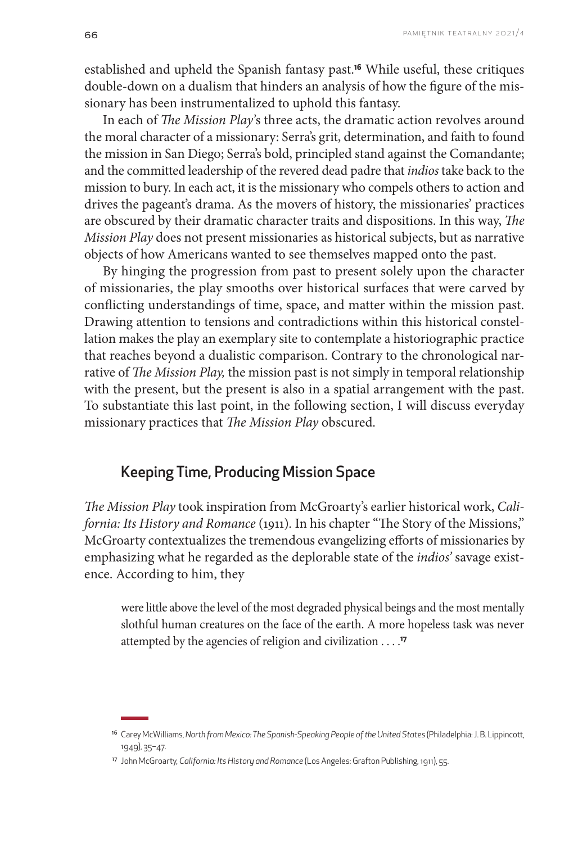established and upheld the Spanish fantasy past.**16** While useful, these critiques double-down on a dualism that hinders an analysis of how the figure of the missionary has been instrumentalized to uphold this fantasy.

In each of *The Mission Play'*s three acts, the dramatic action revolves around the moral character of a missionary: Serra's grit, determination, and faith to found the mission in San Diego; Serra's bold, principled stand against the Comandante; and the committed leadership of the revered dead padre that *indios* take back to the mission to bury. In each act, it is the missionary who compels others to action and drives the pageant's drama. As the movers of history, the missionaries' practices are obscured by their dramatic character traits and dispositions. In this way, *The Mission Play* does not present missionaries as historical subjects, but as narrative objects of how Americans wanted to see themselves mapped onto the past.

By hinging the progression from past to present solely upon the character of missionaries, the play smooths over historical surfaces that were carved by conflicting understandings of time, space, and matter within the mission past. Drawing attention to tensions and contradictions within this historical constellation makes the play an exemplary site to contemplate a historiographic practice that reaches beyond a dualistic comparison. Contrary to the chronological narrative of *The Mission Play,* the mission past is not simply in temporal relationship with the present, but the present is also in a spatial arrangement with the past. To substantiate this last point, in the following section, I will discuss everyday missionary practices that *The Mission Play* obscured.

## Keeping Time, Producing Mission Space

*The Mission Play* took inspiration from McGroarty's earlier historical work, *California: Its History and Romance* (1911). In his chapter "The Story of the Missions," McGroarty contextualizes the tremendous evangelizing efforts of missionaries by emphasizing what he regarded as the deplorable state of the *indios'* savage existence. According to him, they

were little above the level of the most degraded physical beings and the most mentally slothful human creatures on the face of the earth. A more hopeless task was never attempted by the agencies of religion and civilization . . . .**<sup>17</sup>**

<sup>16</sup> Carey McWilliams, *North from Mexico: The Spanish-Speaking People of the United States* (Philadelphia: J. B. Lippincott, 1949), 35–47.

<sup>17</sup> John McGroarty, *California: Its History and Romance* (Los Angeles: Grafton Publishing, 1911), 55.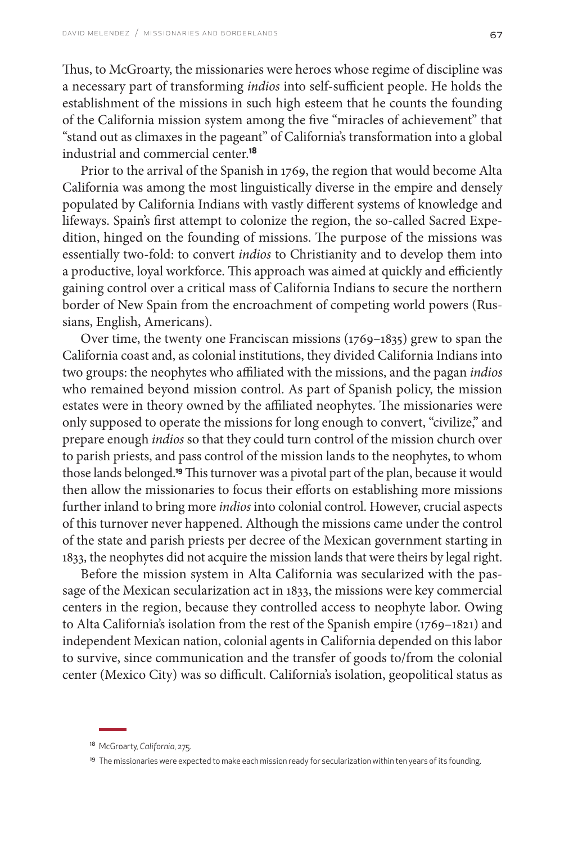Thus, to McGroarty, the missionaries were heroes whose regime of discipline was a necessary part of transforming *indios* into self-sufficient people. He holds the establishment of the missions in such high esteem that he counts the founding of the California mission system among the five "miracles of achievement" that "stand out as climaxes in the pageant" of California's transformation into a global industrial and commercial center.**<sup>18</sup>**

Prior to the arrival of the Spanish in 1769, the region that would become Alta California was among the most linguistically diverse in the empire and densely populated by California Indians with vastly different systems of knowledge and lifeways. Spain's first attempt to colonize the region, the so-called Sacred Expedition, hinged on the founding of missions. The purpose of the missions was essentially two-fold: to convert *indios* to Christianity and to develop them into a productive, loyal workforce. This approach was aimed at quickly and efficiently gaining control over a critical mass of California Indians to secure the northern border of New Spain from the encroachment of competing world powers (Russians, English, Americans).

Over time, the twenty one Franciscan missions (1769–1835) grew to span the California coast and, as colonial institutions, they divided California Indians into two groups: the neophytes who affiliated with the missions, and the pagan *indios*  who remained beyond mission control. As part of Spanish policy, the mission estates were in theory owned by the affiliated neophytes. The missionaries were only supposed to operate the missions for long enough to convert, "civilize," and prepare enough *indios* so that they could turn control of the mission church over to parish priests, and pass control of the mission lands to the neophytes, to whom those lands belonged.**19** This turnover was a pivotal part of the plan, because it would then allow the missionaries to focus their efforts on establishing more missions further inland to bring more *indios* into colonial control. However, crucial aspects of this turnover never happened. Although the missions came under the control of the state and parish priests per decree of the Mexican government starting in 1833, the neophytes did not acquire the mission lands that were theirs by legal right.

Before the mission system in Alta California was secularized with the passage of the Mexican secularization act in 1833, the missions were key commercial centers in the region, because they controlled access to neophyte labor. Owing to Alta California's isolation from the rest of the Spanish empire (1769–1821) and independent Mexican nation, colonial agents in California depended on this labor to survive, since communication and the transfer of goods to/from the colonial center (Mexico City) was so difficult. California's isolation, geopolitical status as

<sup>18</sup> McGroarty, *California*, 275.

<sup>&</sup>lt;sup>19</sup> The missionaries were expected to make each mission ready for secularization within ten years of its founding.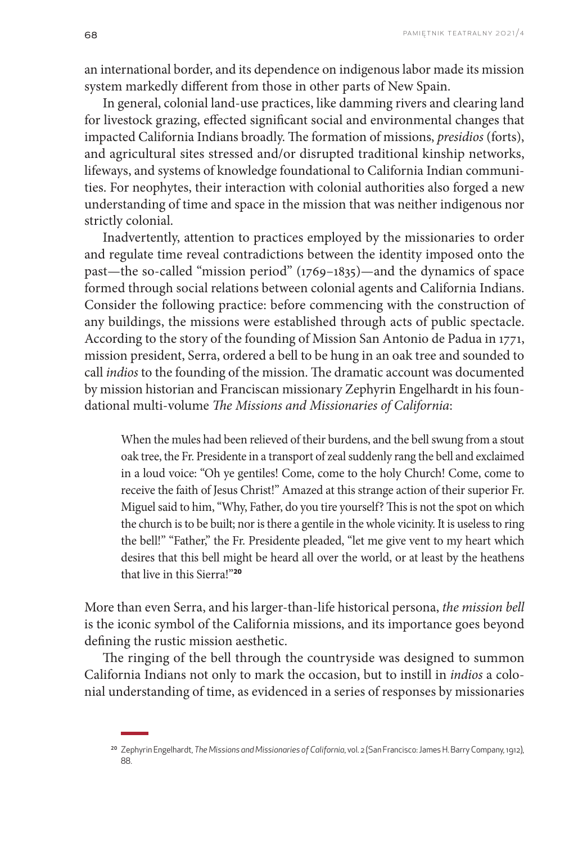an international border, and its dependence on indigenous labor made its mission system markedly different from those in other parts of New Spain.

In general, colonial land-use practices, like damming rivers and clearing land for livestock grazing, effected significant social and environmental changes that impacted California Indians broadly. The formation of missions, *presidios* (forts), and agricultural sites stressed and/or disrupted traditional kinship networks, lifeways, and systems of knowledge foundational to California Indian communities. For neophytes, their interaction with colonial authorities also forged a new understanding of time and space in the mission that was neither indigenous nor strictly colonial.

Inadvertently, attention to practices employed by the missionaries to order and regulate time reveal contradictions between the identity imposed onto the past—the so-called "mission period" (1769–1835)—and the dynamics of space formed through social relations between colonial agents and California Indians. Consider the following practice: before commencing with the construction of any buildings, the missions were established through acts of public spectacle. According to the story of the founding of Mission San Antonio de Padua in 1771, mission president, Serra, ordered a bell to be hung in an oak tree and sounded to call *indios* to the founding of the mission. The dramatic account was documented by mission historian and Franciscan missionary Zephyrin Engelhardt in his foundational multi-volume *The Missions and Missionaries of California*:

When the mules had been relieved of their burdens, and the bell swung from a stout oak tree, the Fr. Presidente in a transport of zeal suddenly rang the bell and exclaimed in a loud voice: "Oh ye gentiles! Come, come to the holy Church! Come, come to receive the faith of Jesus Christ!" Amazed at this strange action of their superior Fr. Miguel said to him, "Why, Father, do you tire yourself? This is not the spot on which the church is to be built; nor is there a gentile in the whole vicinity. It is useless to ring the bell!" "Father," the Fr. Presidente pleaded, "let me give vent to my heart which desires that this bell might be heard all over the world, or at least by the heathens that live in this Sierra!"**<sup>20</sup>**

More than even Serra, and his larger-than-life historical persona, *the mission bell* is the iconic symbol of the California missions, and its importance goes beyond defining the rustic mission aesthetic.

The ringing of the bell through the countryside was designed to summon California Indians not only to mark the occasion, but to instill in *indios* a colonial understanding of time, as evidenced in a series of responses by missionaries

<sup>20</sup> Zephyrin Engelhardt, *The Missions and Missionaries of California*, vol. 2 (San Francisco: James H. Barry Company, 1912), 88.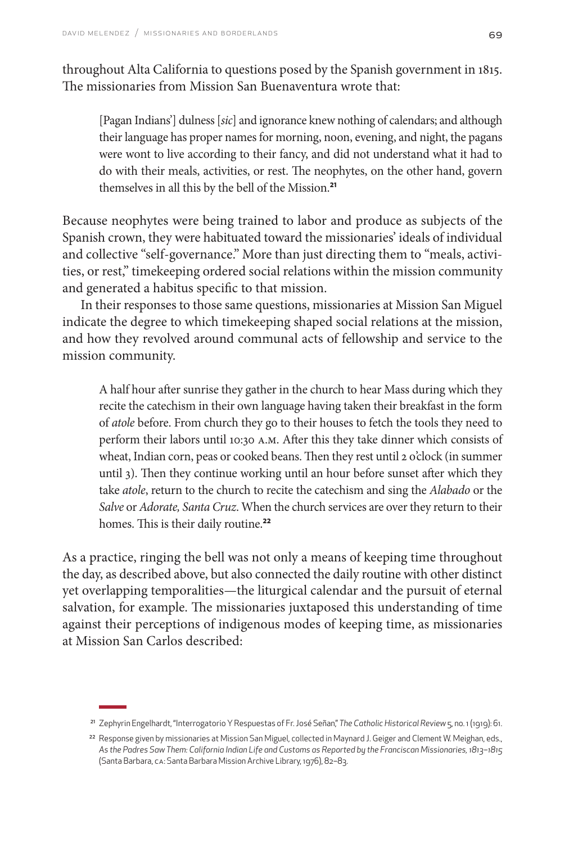throughout Alta California to questions posed by the Spanish government in 1815. The missionaries from Mission San Buenaventura wrote that:

[Pagan Indians'] dulness [*sic*] and ignorance knew nothing of calendars; and although their language has proper names for morning, noon, evening, and night, the pagans were wont to live according to their fancy, and did not understand what it had to do with their meals, activities, or rest. The neophytes, on the other hand, govern themselves in all this by the bell of the Mission.**<sup>21</sup>**

Because neophytes were being trained to labor and produce as subjects of the Spanish crown, they were habituated toward the missionaries' ideals of individual and collective "self-governance." More than just directing them to "meals, activities, or rest," timekeeping ordered social relations within the mission community and generated a habitus specific to that mission.

In their responses to those same questions, missionaries at Mission San Miguel indicate the degree to which timekeeping shaped social relations at the mission, and how they revolved around communal acts of fellowship and service to the mission community.

A half hour after sunrise they gather in the church to hear Mass during which they recite the catechism in their own language having taken their breakfast in the form of *atole* before. From church they go to their houses to fetch the tools they need to perform their labors until 10:30 a.m. After this they take dinner which consists of wheat, Indian corn, peas or cooked beans. Then they rest until 2 o'clock (in summer until 3). Then they continue working until an hour before sunset after which they take *atole*, return to the church to recite the catechism and sing the *Alabado* or the *Salve* or *Adorate, Santa Cruz*. When the church services are over they return to their homes. This is their daily routine.**<sup>22</sup>**

As a practice, ringing the bell was not only a means of keeping time throughout the day, as described above, but also connected the daily routine with other distinct yet overlapping temporalities—the liturgical calendar and the pursuit of eternal salvation, for example. The missionaries juxtaposed this understanding of time against their perceptions of indigenous modes of keeping time, as missionaries at Mission San Carlos described:

<sup>21</sup> Zephyrin Engelhardt, "Interrogatorio Y Respuestas of Fr. José Señan," *The Catholic Historical Review* 5, no. 1 (1919): 61.

<sup>&</sup>lt;sup>22</sup> Response given by missionaries at Mission San Miguel, collected in Maynard J. Geiger and Clement W. Meighan, eds., *As the Padres Saw Them: California Indian Life and Customs as Reported by the Franciscan Missionaries, 1813–1815* (Santa Barbara, CA: Santa Barbara Mission Archive Library, 1976), 82–83.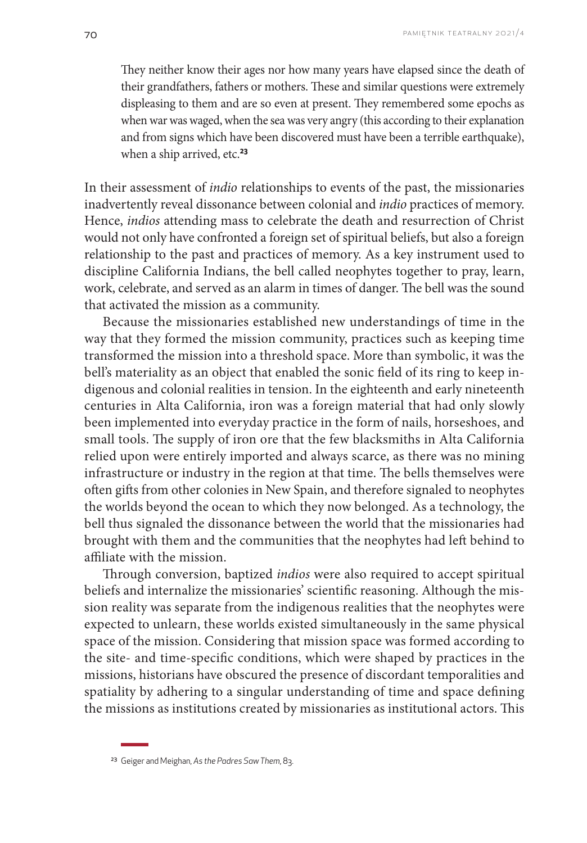They neither know their ages nor how many years have elapsed since the death of their grandfathers, fathers or mothers. These and similar questions were extremely displeasing to them and are so even at present. They remembered some epochs as when war was waged, when the sea was very angry (this according to their explanation and from signs which have been discovered must have been a terrible earthquake), when a ship arrived, etc.**<sup>23</sup>**

In their assessment of *indio* relationships to events of the past, the missionaries inadvertently reveal dissonance between colonial and *indio* practices of memory. Hence, *indios* attending mass to celebrate the death and resurrection of Christ would not only have confronted a foreign set of spiritual beliefs, but also a foreign relationship to the past and practices of memory. As a key instrument used to discipline California Indians, the bell called neophytes together to pray, learn, work, celebrate, and served as an alarm in times of danger. The bell was the sound that activated the mission as a community.

Because the missionaries established new understandings of time in the way that they formed the mission community, practices such as keeping time transformed the mission into a threshold space. More than symbolic, it was the bell's materiality as an object that enabled the sonic field of its ring to keep indigenous and colonial realities in tension. In the eighteenth and early nineteenth centuries in Alta California, iron was a foreign material that had only slowly been implemented into everyday practice in the form of nails, horseshoes, and small tools. The supply of iron ore that the few blacksmiths in Alta California relied upon were entirely imported and always scarce, as there was no mining infrastructure or industry in the region at that time. The bells themselves were often gifts from other colonies in New Spain, and therefore signaled to neophytes the worlds beyond the ocean to which they now belonged. As a technology, the bell thus signaled the dissonance between the world that the missionaries had brought with them and the communities that the neophytes had left behind to affiliate with the mission.

Through conversion, baptized *indios* were also required to accept spiritual beliefs and internalize the missionaries' scientific reasoning. Although the mission reality was separate from the indigenous realities that the neophytes were expected to unlearn, these worlds existed simultaneously in the same physical space of the mission. Considering that mission space was formed according to the site- and time-specific conditions, which were shaped by practices in the missions, historians have obscured the presence of discordant temporalities and spatiality by adhering to a singular understanding of time and space defining the missions as institutions created by missionaries as institutional actors. This

<sup>23</sup> Geiger and Meighan, *As the Padres Saw Them*, 83.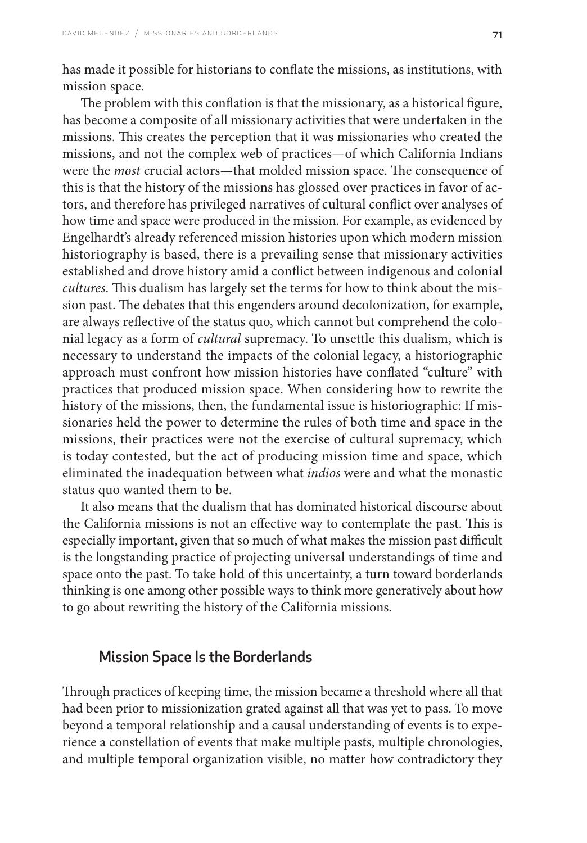has made it possible for historians to conflate the missions, as institutions, with mission space.

The problem with this conflation is that the missionary, as a historical figure, has become a composite of all missionary activities that were undertaken in the missions. This creates the perception that it was missionaries who created the missions, and not the complex web of practices—of which California Indians were the *most* crucial actors—that molded mission space. The consequence of this is that the history of the missions has glossed over practices in favor of actors, and therefore has privileged narratives of cultural conflict over analyses of how time and space were produced in the mission. For example, as evidenced by Engelhardt's already referenced mission histories upon which modern mission historiography is based, there is a prevailing sense that missionary activities established and drove history amid a conflict between indigenous and colonial *cultures.* This dualism has largely set the terms for how to think about the mission past. The debates that this engenders around decolonization, for example, are always reflective of the status quo, which cannot but comprehend the colonial legacy as a form of *cultural* supremacy. To unsettle this dualism, which is necessary to understand the impacts of the colonial legacy, a historiographic approach must confront how mission histories have conflated "culture" with practices that produced mission space. When considering how to rewrite the history of the missions, then, the fundamental issue is historiographic: If missionaries held the power to determine the rules of both time and space in the missions, their practices were not the exercise of cultural supremacy, which is today contested, but the act of producing mission time and space, which eliminated the inadequation between what *indios* were and what the monastic status quo wanted them to be.

It also means that the dualism that has dominated historical discourse about the California missions is not an effective way to contemplate the past. This is especially important, given that so much of what makes the mission past difficult is the longstanding practice of projecting universal understandings of time and space onto the past. To take hold of this uncertainty, a turn toward borderlands thinking is one among other possible ways to think more generatively about how to go about rewriting the history of the California missions.

## Mission Space Is the Borderlands

Through practices of keeping time, the mission became a threshold where all that had been prior to missionization grated against all that was yet to pass. To move beyond a temporal relationship and a causal understanding of events is to experience a constellation of events that make multiple pasts, multiple chronologies, and multiple temporal organization visible, no matter how contradictory they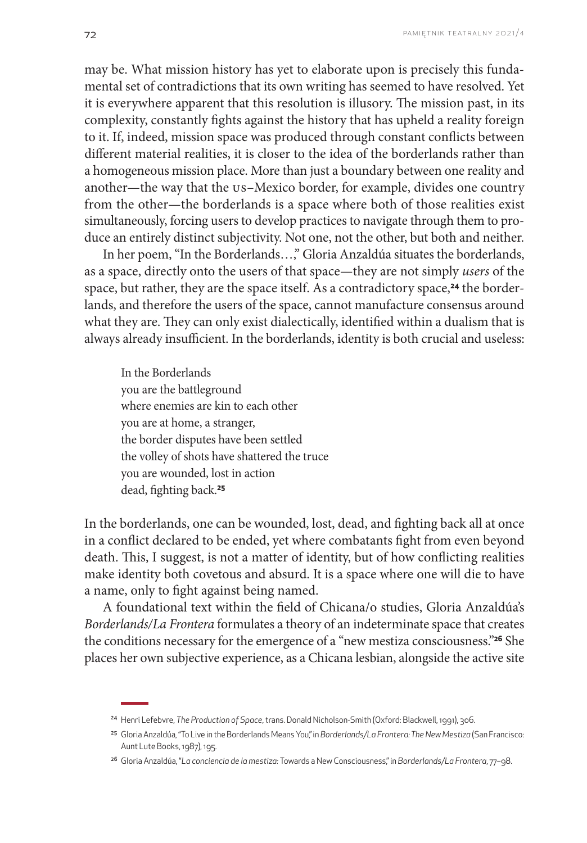may be. What mission history has yet to elaborate upon is precisely this fundamental set of contradictions that its own writing has seemed to have resolved. Yet it is everywhere apparent that this resolution is illusory. The mission past, in its complexity, constantly fights against the history that has upheld a reality foreign to it. If, indeed, mission space was produced through constant conflicts between different material realities, it is closer to the idea of the borderlands rather than a homogeneous mission place. More than just a boundary between one reality and another—the way that the US–Mexico border, for example, divides one country from the other—the borderlands is a space where both of those realities exist simultaneously, forcing users to develop practices to navigate through them to produce an entirely distinct subjectivity. Not one, not the other, but both and neither.

In her poem, "In the Borderlands…," Gloria Anzaldúa situates the borderlands, as a space, directly onto the users of that space—they are not simply *users* of the space, but rather, they are the space itself. As a contradictory space,**24** the borderlands, and therefore the users of the space, cannot manufacture consensus around what they are. They can only exist dialectically, identified within a dualism that is always already insufficient. In the borderlands, identity is both crucial and useless:

In the Borderlands you are the battleground where enemies are kin to each other you are at home, a stranger, the border disputes have been settled the volley of shots have shattered the truce you are wounded, lost in action dead, fighting back.**<sup>25</sup>**

In the borderlands, one can be wounded, lost, dead, and fighting back all at once in a conflict declared to be ended, yet where combatants fight from even beyond death. This, I suggest, is not a matter of identity, but of how conflicting realities make identity both covetous and absurd. It is a space where one will die to have a name, only to fight against being named.

A foundational text within the field of Chicana/o studies, Gloria Anzaldúa's *Borderlands/La Frontera* formulates a theory of an indeterminate space that creates the conditions necessary for the emergence of a "new mestiza consciousness."**26** She places her own subjective experience, as a Chicana lesbian, alongside the active site

<sup>24</sup> Henri Lefebvre, *The Production of Space*, trans. Donald Nicholson-Smith (Oxford: Blackwell, 1991), 306.

<sup>25</sup> Gloria Anzaldúa, "To Live in the Borderlands Means You," in *Borderlands/La Frontera: The New Mestiza* (San Francisco: Aunt Lute Books, 1987), 195.

<sup>26</sup> Gloria Anzaldúa, "*La conciencia de la mestiza:* Towards a New Consciousness," in *Borderlands/La Frontera*, 77–98.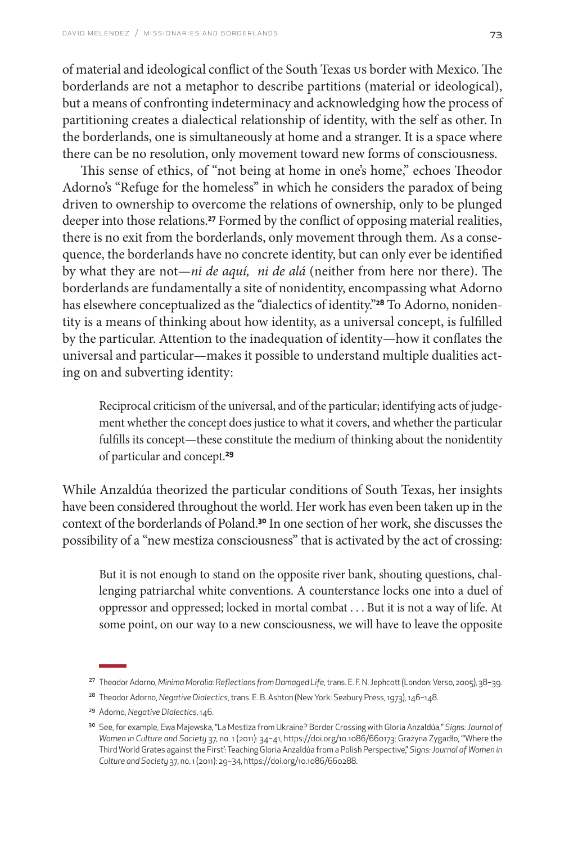of material and ideological conflict of the South Texas US border with Mexico. The borderlands are not a metaphor to describe partitions (material or ideological), but a means of confronting indeterminacy and acknowledging how the process of partitioning creates a dialectical relationship of identity, with the self as other. In the borderlands, one is simultaneously at home and a stranger. It is a space where there can be no resolution, only movement toward new forms of consciousness.

This sense of ethics, of "not being at home in one's home," echoes Theodor Adorno's "Refuge for the homeless" in which he considers the paradox of being driven to ownership to overcome the relations of ownership, only to be plunged deeper into those relations.**27** Formed by the conflict of opposing material realities, there is no exit from the borderlands, only movement through them. As a consequence, the borderlands have no concrete identity, but can only ever be identified by what they are not—*ni de aquí, ni de alá* (neither from here nor there). The borderlands are fundamentally a site of nonidentity, encompassing what Adorno has elsewhere conceptualized as the "dialectics of identity."**28** To Adorno, nonidentity is a means of thinking about how identity, as a universal concept, is fulfilled by the particular. Attention to the inadequation of identity—how it conflates the universal and particular—makes it possible to understand multiple dualities acting on and subverting identity:

Reciprocal criticism of the universal, and of the particular; identifying acts of judgement whether the concept does justice to what it covers, and whether the particular fulfills its concept—these constitute the medium of thinking about the nonidentity of particular and concept.**<sup>29</sup>**

While Anzaldúa theorized the particular conditions of South Texas, her insights have been considered throughout the world. Her work has even been taken up in the context of the borderlands of Poland.**30** In one section of her work, she discusses the possibility of a "new mestiza consciousness" that is activated by the act of crossing:

But it is not enough to stand on the opposite river bank, shouting questions, challenging patriarchal white conventions. A counterstance locks one into a duel of oppressor and oppressed; locked in mortal combat . . . But it is not a way of life. At some point, on our way to a new consciousness, we will have to leave the opposite

<sup>27</sup> Theodor Adorno, *Minima Moralia: Reflections from Damaged Life*, trans. E. F. N. Jephcott (London: Verso, 2005), 38–39.

<sup>28</sup> Theodor Adorno, *Negative Dialectics*, trans. E. B. Ashton (New York: Seabury Press, 1973), 146–148.

<sup>29</sup> Adorno, *Negative Dialectics*, 146.

<sup>30</sup> See, for example, Ewa Majewska, "La Mestiza from Ukraine? Border Crossing with Gloria Anzaldúa," *Signs: Journal of Women in Culture and Society* 37, no. 1 (2011): 34–41, https://doi.org/10.1086/660173; Grażyna Zygadło, "'Where the Third World Grates against the First': Teaching Gloria Anzaldúa from a Polish Perspective," *Signs: Journal of Women in Culture and Society* 37, no. 1 (2011): 29–34, https://doi.org/10.1086/660288.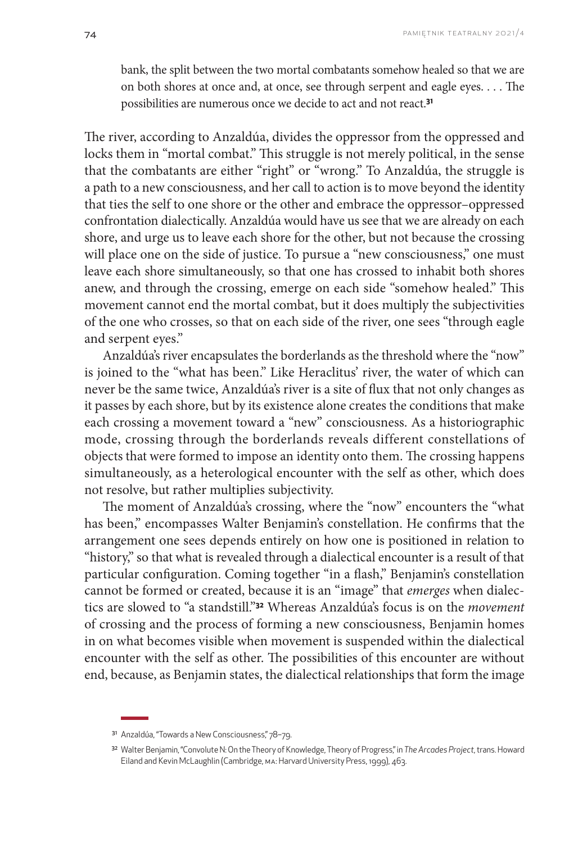bank, the split between the two mortal combatants somehow healed so that we are on both shores at once and, at once, see through serpent and eagle eyes. . . . The possibilities are numerous once we decide to act and not react.**<sup>31</sup>**

The river, according to Anzaldúa, divides the oppressor from the oppressed and locks them in "mortal combat." This struggle is not merely political, in the sense that the combatants are either "right" or "wrong." To Anzaldúa, the struggle is a path to a new consciousness, and her call to action is to move beyond the identity that ties the self to one shore or the other and embrace the oppressor–oppressed confrontation dialectically. Anzaldúa would have us see that we are already on each shore, and urge us to leave each shore for the other, but not because the crossing will place one on the side of justice. To pursue a "new consciousness," one must leave each shore simultaneously, so that one has crossed to inhabit both shores anew, and through the crossing, emerge on each side "somehow healed." This movement cannot end the mortal combat, but it does multiply the subjectivities of the one who crosses, so that on each side of the river, one sees "through eagle and serpent eyes."

Anzaldúa's river encapsulates the borderlands as the threshold where the "now" is joined to the "what has been." Like Heraclitus' river, the water of which can never be the same twice, Anzaldúa's river is a site of flux that not only changes as it passes by each shore, but by its existence alone creates the conditions that make each crossing a movement toward a "new" consciousness. As a historiographic mode, crossing through the borderlands reveals different constellations of objects that were formed to impose an identity onto them. The crossing happens simultaneously, as a heterological encounter with the self as other, which does not resolve, but rather multiplies subjectivity.

The moment of Anzaldúa's crossing, where the "now" encounters the "what has been," encompasses Walter Benjamin's constellation. He confirms that the arrangement one sees depends entirely on how one is positioned in relation to "history," so that what is revealed through a dialectical encounter is a result of that particular configuration. Coming together "in a flash," Benjamin's constellation cannot be formed or created, because it is an "image" that *emerges* when dialectics are slowed to "a standstill."**32** Whereas Anzaldúa's focus is on the *movement*  of crossing and the process of forming a new consciousness, Benjamin homes in on what becomes visible when movement is suspended within the dialectical encounter with the self as other. The possibilities of this encounter are without end, because, as Benjamin states, the dialectical relationships that form the image

<sup>31</sup> Anzaldúa, "Towards a New Consciousness," 78-79.

<sup>32</sup> Walter Benjamin, "Convolute N: On the Theory of Knowledge, Theory of Progress," in *The Arcades Project*, trans. Howard Eiland and Kevin McLaughlin (Cambridge, MA: Harvard University Press, 1999), 463.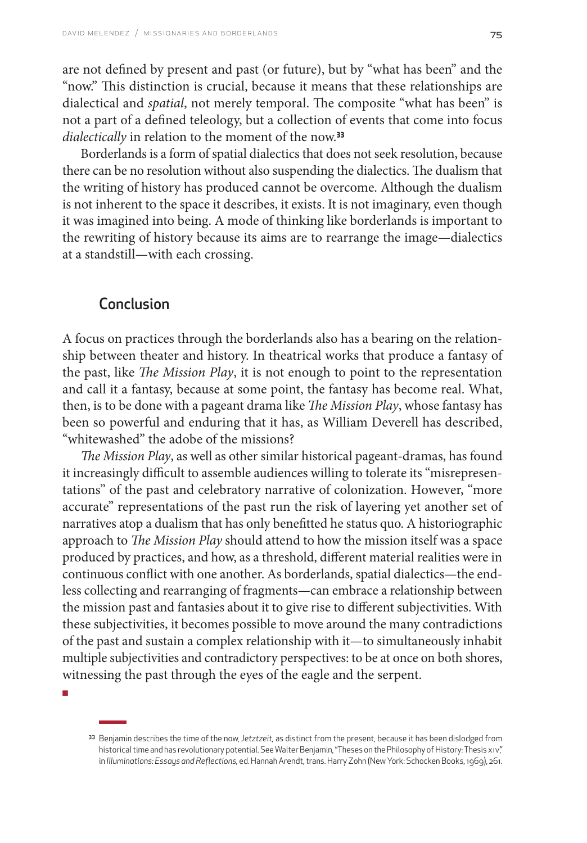are not defined by present and past (or future), but by "what has been" and the "now." This distinction is crucial, because it means that these relationships are dialectical and *spatial*, not merely temporal. The composite "what has been" is not a part of a defined teleology, but a collection of events that come into focus *dialectically* in relation to the moment of the now.**<sup>33</sup>**

Borderlands is a form of spatial dialectics that does not seek resolution, because there can be no resolution without also suspending the dialectics. The dualism that the writing of history has produced cannot be overcome. Although the dualism is not inherent to the space it describes, it exists. It is not imaginary, even though it was imagined into being. A mode of thinking like borderlands is important to the rewriting of history because its aims are to rearrange the image—dialectics at a standstill—with each crossing.

## Conclusion

A focus on practices through the borderlands also has a bearing on the relationship between theater and history. In theatrical works that produce a fantasy of the past, like *The Mission Play*, it is not enough to point to the representation and call it a fantasy, because at some point, the fantasy has become real. What, then, is to be done with a pageant drama like *The Mission Play*, whose fantasy has been so powerful and enduring that it has, as William Deverell has described, "whitewashed" the adobe of the missions?

*The Mission Play*, as well as other similar historical pageant-dramas, has found it increasingly difficult to assemble audiences willing to tolerate its "misrepresentations" of the past and celebratory narrative of colonization. However, "more accurate" representations of the past run the risk of layering yet another set of narratives atop a dualism that has only benefitted he status quo. A historiographic approach to *The Mission Play* should attend to how the mission itself was a space produced by practices, and how, as a threshold, different material realities were in continuous conflict with one another. As borderlands, spatial dialectics—the endless collecting and rearranging of fragments—can embrace a relationship between the mission past and fantasies about it to give rise to different subjectivities. With these subjectivities, it becomes possible to move around the many contradictions of the past and sustain a complex relationship with it—to simultaneously inhabit multiple subjectivities and contradictory perspectives: to be at once on both shores, witnessing the past through the eyes of the eagle and the serpent.

■

<sup>33</sup> Benjamin describes the time of the now, *Jetztzeit,* as distinct from the present, because it has been dislodged from historical time and has revolutionary potential. See Walter Benjamin, "Theses on the Philosophy of History: Thesis xiv," in *Illuminations: Essays and Reflections,* ed. Hannah Arendt, trans. Harry Zohn (New York: Schocken Books, 1969), 261.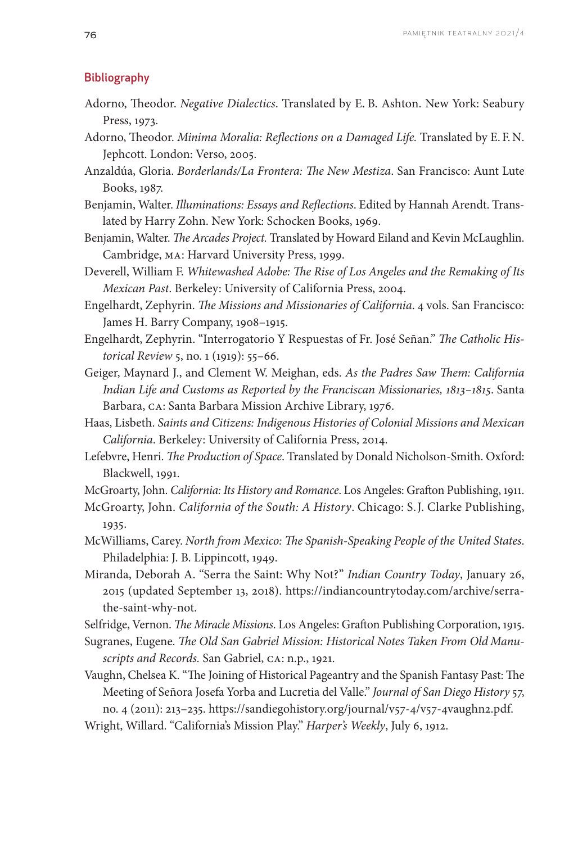#### Bibliography

- Adorno, Theodor. *Negative Dialectics*. Translated by E. B. Ashton. New York: Seabury Press, 1973.
- Adorno, Theodor. *Minima Moralia: Reflections on a Damaged Life.* Translated by E. F. N. Jephcott. London: Verso, 2005.
- Anzaldúa, Gloria. *Borderlands/La Frontera: The New Mestiza*. San Francisco: Aunt Lute Books, 1987.
- Benjamin, Walter. *Illuminations: Essays and Reflections*. Edited by Hannah Arendt. Translated by Harry Zohn. New York: Schocken Books, 1969.
- Benjamin, Walter. *The Arcades Project.* Translated by Howard Eiland and Kevin McLaughlin. Cambridge, MA: Harvard University Press, 1999.
- Deverell, William F. *Whitewashed Adobe: The Rise of Los Angeles and the Remaking of Its Mexican Past*. Berkeley: University of California Press, 2004.
- Engelhardt, Zephyrin. *The Missions and Missionaries of California*. 4 vols. San Francisco: James H. Barry Company, 1908–1915.
- Engelhardt, Zephyrin. "Interrogatorio Y Respuestas of Fr. José Señan." *The Catholic Historical Review* 5, no. 1 (1919): 55–66.
- Geiger, Maynard J., and Clement W. Meighan, eds. *As the Padres Saw Them: California Indian Life and Customs as Reported by the Franciscan Missionaries, 1813–1815*. Santa Barbara, CA: Santa Barbara Mission Archive Library, 1976.
- Haas, Lisbeth. *Saints and Citizens: Indigenous Histories of Colonial Missions and Mexican California*. Berkeley: University of California Press, 2014.
- Lefebvre, Henri. *The Production of Space*. Translated by Donald Nicholson-Smith. Oxford: Blackwell, 1991.
- McGroarty, John. *California: Its History and Romance*. Los Angeles: Grafton Publishing, 1911.
- McGroarty, John. *California of the South: A History*. Chicago: S. J. Clarke Publishing, 1935.
- McWilliams, Carey. *North from Mexico: The Spanish-Speaking People of the United States*. Philadelphia: J. B. Lippincott, 1949.
- Miranda, Deborah A. "Serra the Saint: Why Not?" *Indian Country Today*, January 26, 2015 (updated September 13, 2018). https://indiancountrytoday.com/archive/serrathe-saint-why-not.
- Selfridge, Vernon. *The Miracle Missions*. Los Angeles: Grafton Publishing Corporation, 1915.
- Sugranes, Eugene. *The Old San Gabriel Mission: Historical Notes Taken From Old Manuscripts and Records.* San Gabriel, CA: n.p., 1921.

Vaughn, Chelsea K. "The Joining of Historical Pageantry and the Spanish Fantasy Past: The Meeting of Señora Josefa Yorba and Lucretia del Valle." *Journal of San Diego History* 57, no. 4 (2011): 213–235. https://sandiegohistory.org/journal/v57-4/v57-4vaughn2.pdf.

Wright, Willard. "California's Mission Play." *Harper's Weekly*, July 6, 1912.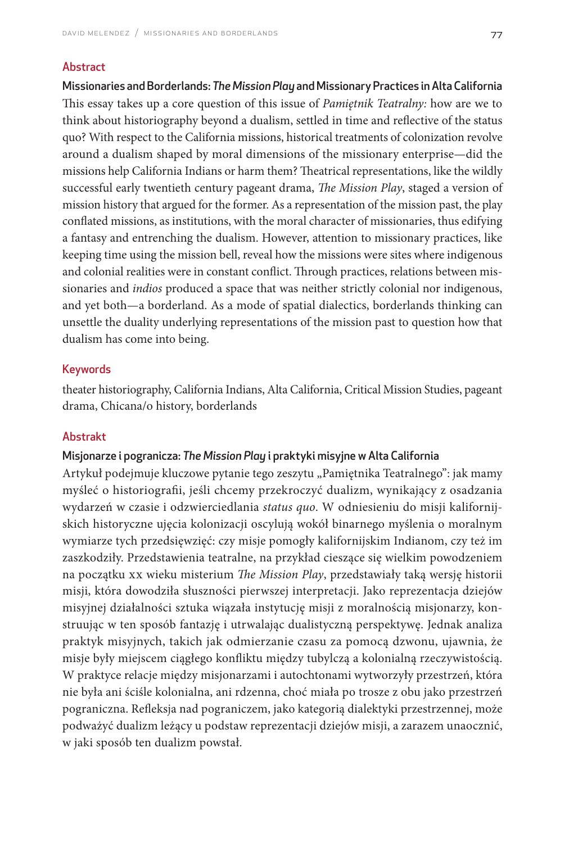#### Abstract

Missionaries and Borderlands: *The Mission Play* and Missionary Practices in Alta California This essay takes up a core question of this issue of *Pamiętnik Teatralny:* how are we to think about historiography beyond a dualism, settled in time and reflective of the status quo? With respect to the California missions, historical treatments of colonization revolve around a dualism shaped by moral dimensions of the missionary enterprise—did the missions help California Indians or harm them? Theatrical representations, like the wildly successful early twentieth century pageant drama, *The Mission Play*, staged a version of mission history that argued for the former. As a representation of the mission past, the play conflated missions, as institutions, with the moral character of missionaries, thus edifying a fantasy and entrenching the dualism. However, attention to missionary practices, like keeping time using the mission bell, reveal how the missions were sites where indigenous and colonial realities were in constant conflict. Through practices, relations between missionaries and *indios* produced a space that was neither strictly colonial nor indigenous, and yet both—a borderland. As a mode of spatial dialectics, borderlands thinking can unsettle the duality underlying representations of the mission past to question how that dualism has come into being.

#### Keywords

theater historiography, California Indians, Alta California, Critical Mission Studies, pageant drama, Chicana/o history, borderlands

#### Abstrakt

#### Misjonarze i pogranicza: *The Mission Play* i praktyki misyjne w Alta California

Artykuł podejmuje kluczowe pytanie tego zeszytu "Pamiętnika Teatralnego": jak mamy myśleć o historiografii, jeśli chcemy przekroczyć dualizm, wynikający z osadzania wydarzeń w czasie i odzwierciedlania *status quo*. W odniesieniu do misji kalifornijskich historyczne ujęcia kolonizacji oscylują wokół binarnego myślenia o moralnym wymiarze tych przedsięwzięć: czy misje pomogły kalifornijskim Indianom, czy też im zaszkodziły. Przedstawienia teatralne, na przykład cieszące się wielkim powodzeniem na początku XX wieku misterium *The Mission Play*, przedstawiały taką wersję historii misji, która dowodziła słuszności pierwszej interpretacji. Jako reprezentacja dziejów misyjnej działalności sztuka wiązała instytucję misji z moralnością misjonarzy, konstruując w ten sposób fantazję i utrwalając dualistyczną perspektywę. Jednak analiza praktyk misyjnych, takich jak odmierzanie czasu za pomocą dzwonu, ujawnia, że misje były miejscem ciągłego konfliktu między tubylczą a kolonialną rzeczywistością. W praktyce relacje między misjonarzami i autochtonami wytworzyły przestrzeń, która nie była ani ściśle kolonialna, ani rdzenna, choć miała po trosze z obu jako przestrzeń pograniczna. Refleksja nad pograniczem, jako kategorią dialektyki przestrzennej, może podważyć dualizm leżący u podstaw reprezentacji dziejów misji, a zarazem unaocznić, w jaki sposób ten dualizm powstał.